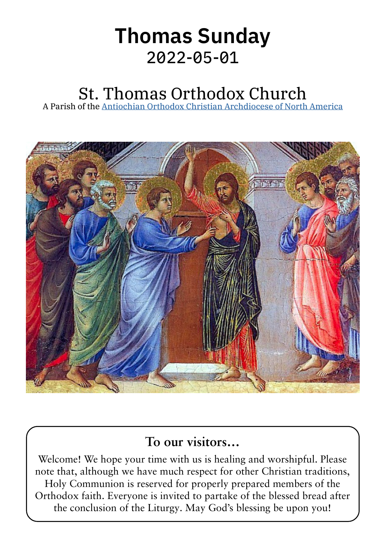# Thomas Sunday 2022‑05‑01

# St. Thomas Orthodox Church

A Parish of the [Antiochian Orthodox Christian Archdiocese of North America](https://www.antiochian.org)



### **To our visitors…**

Welcome! We hope your time with us is healing and worshipful. Please note that, although we have much respect for other Christian traditions, Holy Communion is reserved for properly prepared members of the Orthodox faith. Everyone is invited to partake of the blessed bread after the conclusion of the Liturgy. May God's blessing be upon you!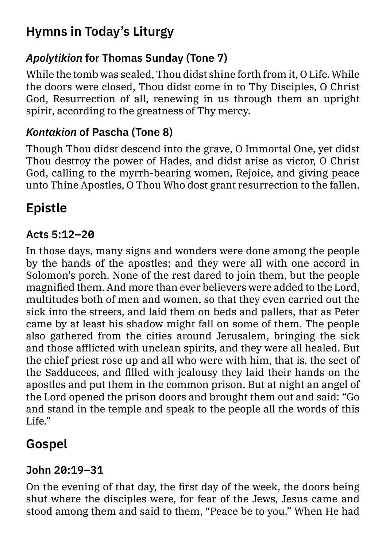## **Hymns in Today's Liturgy**

#### *Apolytikion* **for Thomas Sunday (Tone 7)**

While the tomb was sealed, Thou didst shine forth from it, O Life. While the doors were closed, Thou didst come in to Thy Disciples, O Christ God, Resurrection of all, renewing in us through them an upright spirit, according to the greatness of Thy mercy.

#### *Kontakion* **of Pascha (Tone 8)**

Though Thou didst descend into the grave, O Immortal One, yet didst Thou destroy the power of Hades, and didst arise as victor, O Christ God, calling to the myrrh-bearing women, Rejoice, and giving peace unto Thine Apostles, O Thou Who dost grant resurrection to the fallen.

# **Epistle**

#### **Acts 5:12–20**

In those days, many signs and wonders were done among the people by the hands of the apostles; and they were all with one accord in Solomon's porch. None of the rest dared to join them, but the people magnified them. And more than ever believers were added to the Lord, multitudes both of men and women, so that they even carried out the sick into the streets, and laid them on beds and pallets, that as Peter came by at least his shadow might fall on some of them. The people also gathered from the cities around Jerusalem, bringing the sick and those afflicted with unclean spirits, and they were all healed. But the chief priest rose up and all who were with him, that is, the sect of the Sadducees, and filled with jealousy they laid their hands on the apostles and put them in the common prison. But at night an angel of the Lord opened the prison doors and brought them out and said: "Go and stand in the temple and speak to the people all the words of this Life $"$ 

## **Gospel**

#### **John 20:19–31**

On the evening of that day, the first day of the week, the doors being shut where the disciples were, for fear of the Jews, Jesus came and stood among them and said to them, "Peace be to you." When He had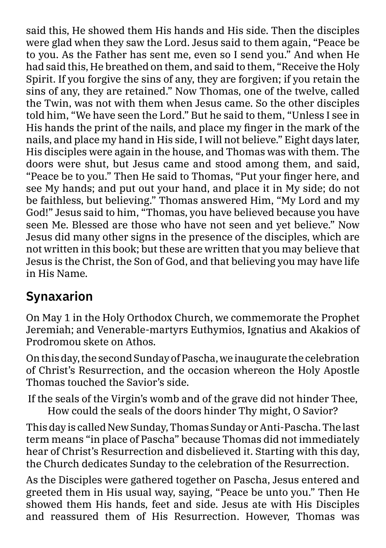said this, He showed them His hands and His side. Then the disciples were glad when they saw the Lord. Jesus said to them again, "Peace be to you. As the Father has sent me, even so I send you." And when He had said this, He breathed on them, and said to them, "Receive the Holy Spirit. If you forgive the sins of any, they are forgiven; if you retain the sins of any, they are retained." Now Thomas, one of the twelve, called the Twin, was not with them when Jesus came. So the other disciples told him, "We have seen the Lord." But he said to them, "Unless I see in His hands the print of the nails, and place my finger in the mark of the nails, and place my hand in His side, I will not believe." Eight days later, His disciples were again in the house, and Thomas was with them. The doors were shut, but Jesus came and stood among them, and said, "Peace be to you." Then He said to Thomas, "Put your finger here, and see My hands; and put out your hand, and place it in My side; do not be faithless, but believing." Thomas answered Him, "My Lord and my God!" Jesus said to him, "Thomas, you have believed because you have seen Me. Blessed are those who have not seen and yet believe." Now Jesus did many other signs in the presence of the disciples, which are not written in this book; but these are written that you may believe that Jesus is the Christ, the Son of God, and that believing you may have life in His Name.

### **Synaxarion**

On May 1 in the Holy Orthodox Church, we commemorate the Prophet Jeremiah; and Venerable-martyrs Euthymios, Ignatius and Akakios of Prodromou skete on Athos.

On this day, the second Sunday of Pascha, we inaugurate the celebration of Christ's Resurrection, and the occasion whereon the Holy Apostle Thomas touched the Savior's side.

If the seals of the Virgin's womb and of the grave did not hinder Thee, How could the seals of the doors hinder Thy might, O Savior?

This day is called New Sunday, Thomas Sunday or Anti-Pascha. The last term means "in place of Pascha" because Thomas did not immediately hear of Christ's Resurrection and disbelieved it. Starting with this day, the Church dedicates Sunday to the celebration of the Resurrection.

As the Disciples were gathered together on Pascha, Jesus entered and greeted them in His usual way, saying, "Peace be unto you." Then He showed them His hands, feet and side. Jesus ate with His Disciples and reassured them of His Resurrection. However, Thomas was